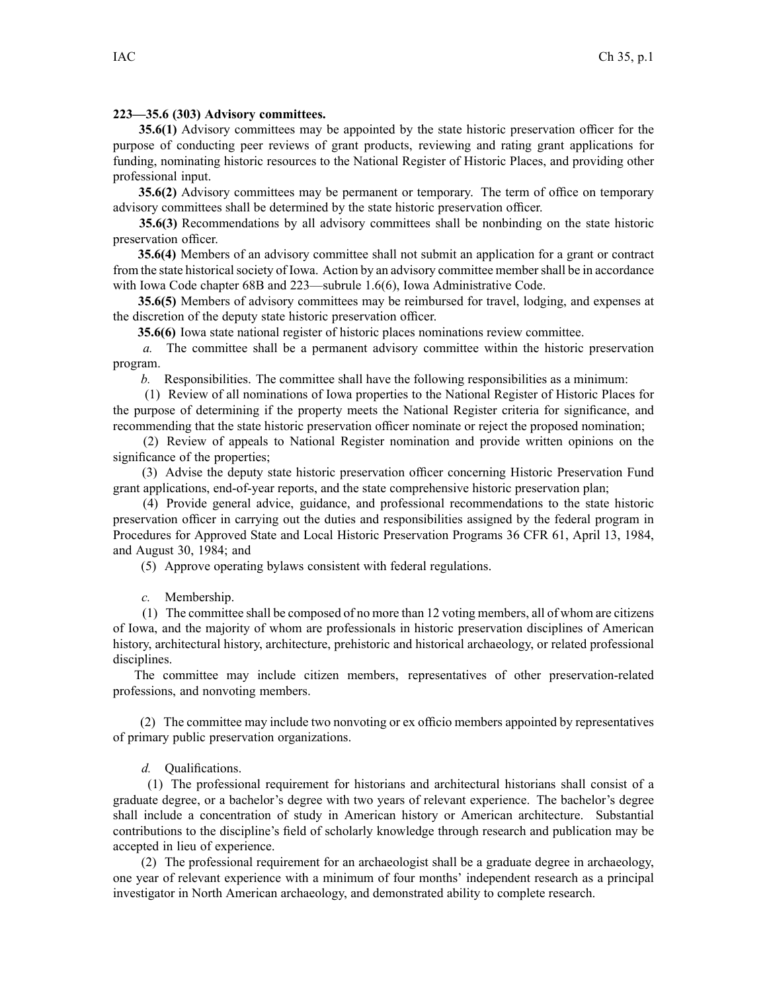## **223—35.6 (303) Advisory committees.**

**35.6(1)** Advisory committees may be appointed by the state historic preservation officer for the purpose of conducting peer reviews of gran<sup>t</sup> products, reviewing and rating gran<sup>t</sup> applications for funding, nominating historic resources to the National Register of Historic Places, and providing other professional input.

**35.6(2)** Advisory committees may be permanen<sup>t</sup> or temporary. The term of office on temporary advisory committees shall be determined by the state historic preservation officer.

**35.6(3)** Recommendations by all advisory committees shall be nonbinding on the state historic preservation officer.

**35.6(4)** Members of an advisory committee shall not submit an application for <sup>a</sup> gran<sup>t</sup> or contract from the state historical society of Iowa. Action by an advisory committee member shall be in accordance with Iowa Code chapter 68B and 223—subrule 1.6(6), Iowa Administrative Code.

**35.6(5)** Members of advisory committees may be reimbursed for travel, lodging, and expenses at the discretion of the deputy state historic preservation officer.

**35.6(6)** Iowa state national register of historic places nominations review committee.

*a.* The committee shall be <sup>a</sup> permanen<sup>t</sup> advisory committee within the historic preservation program.

*b.* Responsibilities. The committee shall have the following responsibilities as <sup>a</sup> minimum:

(1) Review of all nominations of Iowa properties to the National Register of Historic Places for the purpose of determining if the property meets the National Register criteria for significance, and recommending that the state historic preservation officer nominate or reject the proposed nomination;

(2) Review of appeals to National Register nomination and provide written opinions on the significance of the properties;

(3) Advise the deputy state historic preservation officer concerning Historic Preservation Fund gran<sup>t</sup> applications, end-of-year reports, and the state comprehensive historic preservation plan;

(4) Provide general advice, guidance, and professional recommendations to the state historic preservation officer in carrying out the duties and responsibilities assigned by the federal program in Procedures for Approved State and Local Historic Preservation Programs 36 CFR 61, April 13, 1984, and August 30, 1984; and

(5) Approve operating bylaws consistent with federal regulations.

*c.* Membership.

(1) The committee shall be composed of no more than 12 voting members, all of whom are citizens of Iowa, and the majority of whom are professionals in historic preservation disciplines of American history, architectural history, architecture, prehistoric and historical archaeology, or related professional disciplines.

The committee may include citizen members, representatives of other preservation-related professions, and nonvoting members.

(2) The committee may include two nonvoting or ex officio members appointed by representatives of primary public preservation organizations.

*d.* Qualifications.

(1) The professional requirement for historians and architectural historians shall consist of <sup>a</sup> graduate degree, or <sup>a</sup> bachelor's degree with two years of relevant experience. The bachelor's degree shall include <sup>a</sup> concentration of study in American history or American architecture. Substantial contributions to the discipline's field of scholarly knowledge through research and publication may be accepted in lieu of experience.

(2) The professional requirement for an archaeologist shall be <sup>a</sup> graduate degree in archaeology, one year of relevant experience with <sup>a</sup> minimum of four months' independent research as <sup>a</sup> principal investigator in North American archaeology, and demonstrated ability to complete research.